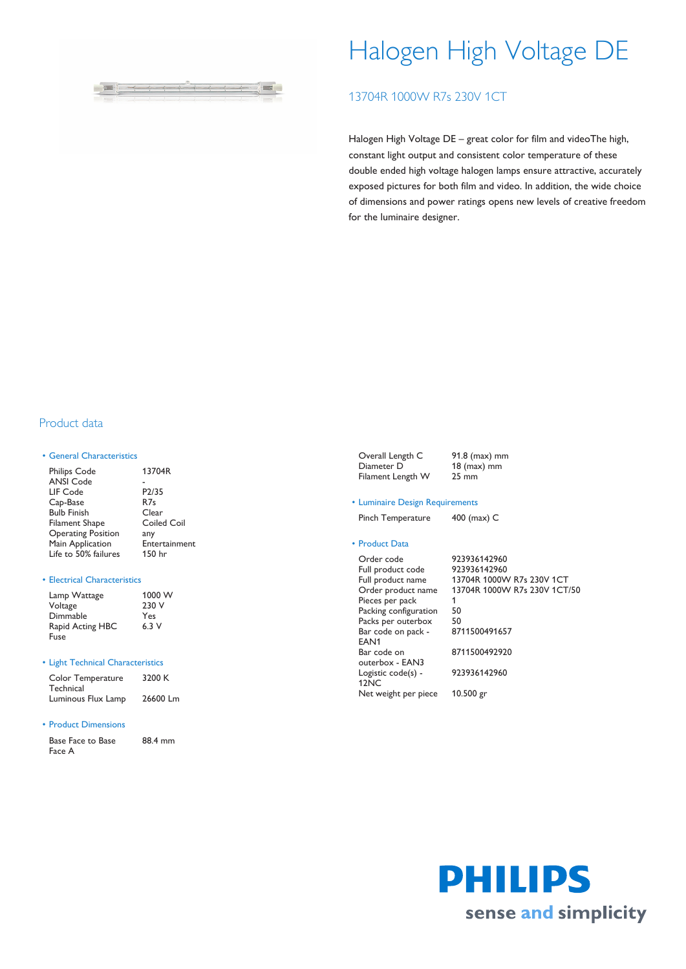

# Halogen High Voltage DE

# 13704R 1000W R7s 230V 1CT

Halogen High Voltage DE – great color for film and videoThe high, constant light output and consistent color temperature of these double ended high voltage halogen lamps ensure attractive, accurately exposed pictures for both film and video. In addition, the wide choice of dimensions and power ratings opens new levels of creative freedom for the luminaire designer.

## Product data

#### • General Characteristics

| <b>Philips Code</b>       | 13704R          |
|---------------------------|-----------------|
| <b>ANSI Code</b>          |                 |
| LIF Code                  | P2/35           |
| Cap-Base                  | R <sub>7s</sub> |
| <b>Bulb Finish</b>        | Clear           |
| <b>Filament Shape</b>     | Coiled Coil     |
| <b>Operating Position</b> | any             |
| Main Application          | Entertainment   |
| Life to 50% failures      | 150 hr          |
|                           |                 |

#### • Electrical Characteristics

| Lamp Wattage     | 1000 W |
|------------------|--------|
| Voltage          | 230 V  |
| Dimmable         | Yes    |
| Rapid Acting HBC | 6.3V   |
| Fuse             |        |

#### • Light Technical Characteristics

| Color Temperature  | 3200 K   |
|--------------------|----------|
| Technical          |          |
| Luminous Flux Lamp | 26600 Lm |

#### • Product Dimensions

| Base Face to Base | 88.4 mm |
|-------------------|---------|
| Face A            |         |

| Overall Length C  | $91.8$ (max) mm |
|-------------------|-----------------|
| Diameter D        | $18$ (max) mm   |
| Filament Length W | $25 \text{ mm}$ |

#### • Luminaire Design Requirements

Pinch Temperature 400 (max) C

### • Product Data

| 923936142960                 |
|------------------------------|
| 923936142960                 |
| 13704R 1000W R7s 230V 1CT    |
| 13704R 1000W R7s 230V 1CT/50 |
| 1                            |
| 50                           |
| 50                           |
| 8711500491657                |
|                              |
| 8711500492920                |
|                              |
| 923936142960                 |
|                              |
| $10.500$ gr                  |
|                              |